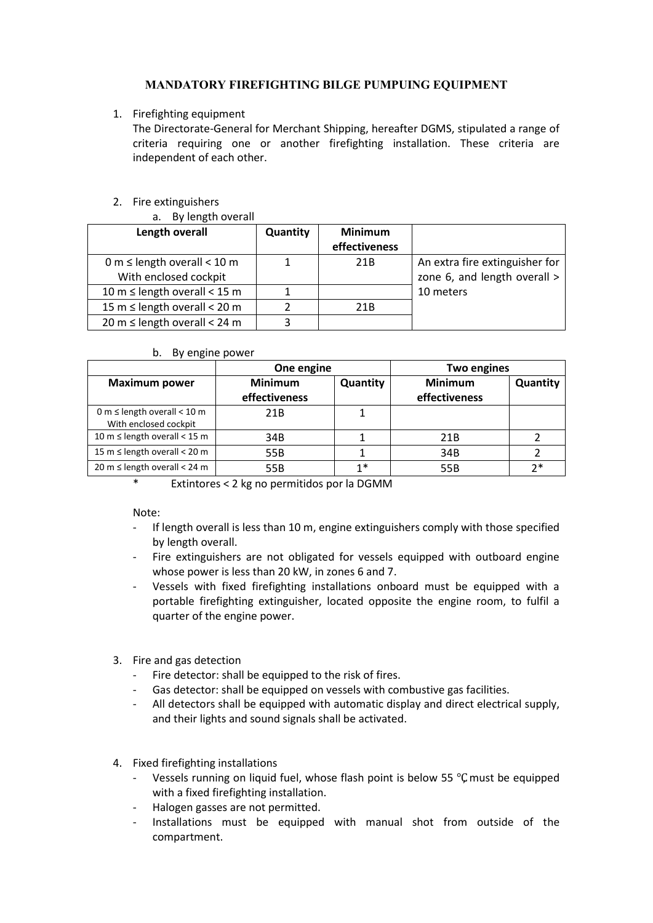# **MANDATORY FIREFIGHTING BILGE PUMPUING EQUIPMENT**

# 1. Firefighting equipment

The Directorate-General for Merchant Shipping, hereafter DGMS, stipulated a range of criteria requiring one or another firefighting installation. These criteria are independent of each other.

# 2. Fire extinguishers

| By length overall |
|-------------------|
|                   |

| Length overall                    | Quantity | <b>Minimum</b><br>effectiveness |                                |
|-----------------------------------|----------|---------------------------------|--------------------------------|
| 0 m $\leq$ length overall < 10 m  |          | 21 <sub>B</sub>                 | An extra fire extinguisher for |
| With enclosed cockpit             |          |                                 | zone 6, and length overall >   |
| 10 m $\leq$ length overall < 15 m |          |                                 | 10 meters                      |
| 15 m $\leq$ length overall < 20 m |          | 21B                             |                                |
| 20 m $\leq$ length overall < 24 m |          |                                 |                                |

#### b. By engine power

|                                                             | One engine                      |                 | Two engines                     |          |
|-------------------------------------------------------------|---------------------------------|-----------------|---------------------------------|----------|
| <b>Maximum power</b>                                        | <b>Minimum</b><br>effectiveness | <b>Quantity</b> | <b>Minimum</b><br>effectiveness | Quantity |
| 0 m $\leq$ length overall $<$ 10 m<br>With enclosed cockpit | 21 <sub>B</sub>                 |                 |                                 |          |
| 10 m $\leq$ length overall < 15 m                           | 34B                             |                 | 21 <sub>B</sub>                 |          |
| 15 m $\leq$ length overall $<$ 20 m                         | 55B                             |                 | 34B                             |          |
| $20 \text{ m} \leq$ length overall < 24 m                   | 55B                             | 1*              | 55B                             | つ*       |

\* Extintores < 2 kg no permitidos por la DGMM

Note:

- If length overall is less than 10 m, engine extinguishers comply with those specified by length overall.
- Fire extinguishers are not obligated for vessels equipped with outboard engine whose power is less than 20 kW, in zones 6 and 7.
- Vessels with fixed firefighting installations onboard must be equipped with a portable firefighting extinguisher, located opposite the engine room, to fulfil a quarter of the engine power.
- 3. Fire and gas detection
	- Fire detector: shall be equipped to the risk of fires.
	- Gas detector: shall be equipped on vessels with combustive gas facilities.
	- All detectors shall be equipped with automatic display and direct electrical supply, and their lights and sound signals shall be activated.
- 4. Fixed firefighting installations
	- Vessels running on liquid fuel, whose flash point is below 55 ℃, must be equipped with a fixed firefighting installation.
	- Halogen gasses are not permitted.
	- Installations must be equipped with manual shot from outside of the compartment.